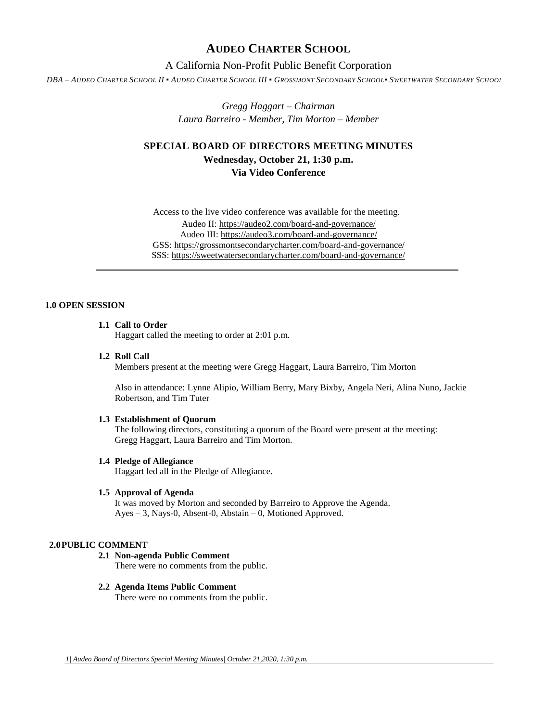## **AUDEO CHARTER SCHOOL**

## A California Non-Profit Public Benefit Corporation

DBA - AUDEO CHARTER SCHOOL II . AUDEO CHARTER SCHOOL III . GROSSMONT SECONDARY SCHOOL. SWEETWATER SECONDARY SCHOOL

*Gregg Haggart – Chairman Laura Barreiro - Member, Tim Morton – Member*

# **SPECIAL BOARD OF DIRECTORS MEETING MINUTES Wednesday, October 21, 1:30 p.m. Via Video Conference**

Access to the live video conference was available for the meeting. Audeo II[: https://audeo2.com/board-and-governance/](https://audeo2.com/board-and-governance/) Audeo III:<https://audeo3.com/board-and-governance/> GSS:<https://grossmontsecondarycharter.com/board-and-governance/> SSS:<https://sweetwatersecondarycharter.com/board-and-governance/>

### **1.0 OPEN SESSION**

## **1.1 Call to Order**

Haggart called the meeting to order at 2:01 p.m.

**1.2 Roll Call**

Members present at the meeting were Gregg Haggart, Laura Barreiro, Tim Morton

Also in attendance: Lynne Alipio, William Berry, Mary Bixby, Angela Neri, Alina Nuno, Jackie Robertson, and Tim Tuter

#### **1.3 Establishment of Quorum**

The following directors, constituting a quorum of the Board were present at the meeting: Gregg Haggart, Laura Barreiro and Tim Morton.

#### **1.4 Pledge of Allegiance**

Haggart led all in the Pledge of Allegiance.

#### **1.5 Approval of Agenda**

It was moved by Morton and seconded by Barreiro to Approve the Agenda. Ayes – 3, Nays-0, Absent-0, Abstain – 0, Motioned Approved.

#### **2.0PUBLIC COMMENT**

**2.1 Non-agenda Public Comment** There were no comments from the public.

### **2.2 Agenda Items Public Comment**

There were no comments from the public.